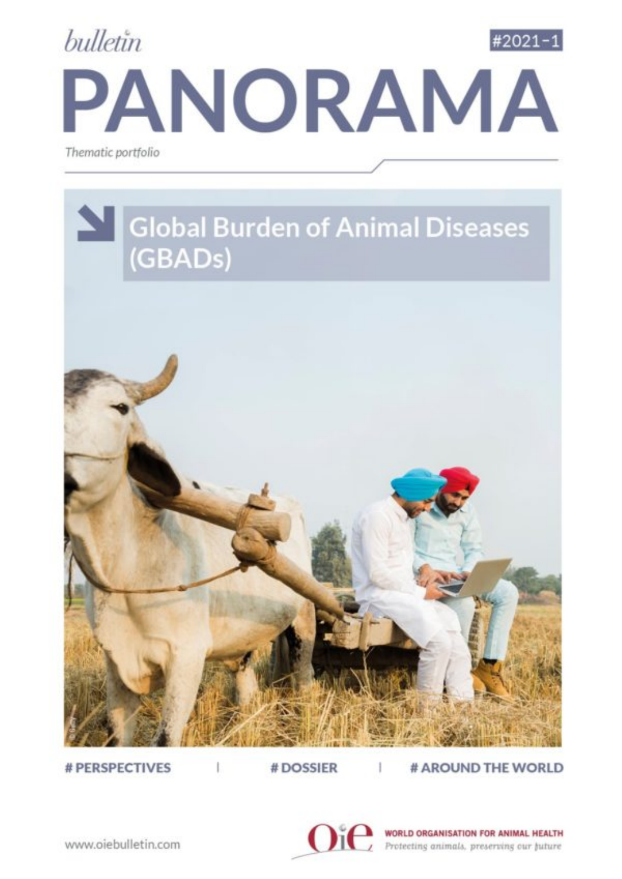



# PERSPECTIVES

# DOSSIER

# AROUND THE WORLD



WORLD ORGANISATION FOR ANIMAL HEALTH Protecting animals, preserving our juture

www.oiebulletin.com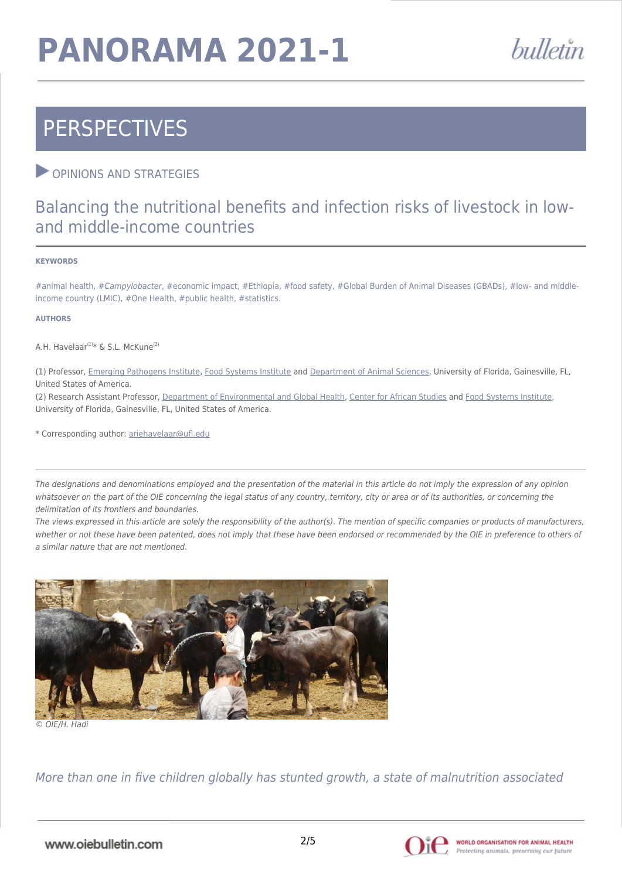# **PANORAMA 2021-1**



## **PERSPECTIVES**

### **OPINIONS AND STRATEGIES**

### Balancing the nutritional benefits and infection risks of livestock in lowand middle-income countries

#### **KEYWORDS**

#animal health, #Campylobacter, #economic impact, #Ethiopia, #food safety, #Global Burden of Animal Diseases (GBADs), #low- and middleincome country (LMIC), #One Health, #public health, #statistics.

#### **AUTHORS**

A.H. Havelaar<sup>(1)\*</sup> & S.L. McKune<sup>(2)</sup>

(1) Professor, [Emerging Pathogens Institute,](https://www.epi.ufl.edu/) [Food Systems Institute](https://foodsystems.ifas.ufl.edu/about/) and [Department of Animal Sciences,](https://animal.ifas.ufl.edu/about/) University of Florida, Gainesville, FL, United States of America.

(2) Research Assistant Professor, [Department of Environmental and Global Health](https://egh.phhp.ufl.edu/), [Center for African Studies](https://africa.ufl.edu/) and [Food Systems Institute](https://foodsystems.ifas.ufl.edu/about/), University of Florida, Gainesville, FL, United States of America.

\* Corresponding author: [ariehavelaar@ufl.edu](mailto:ariehavelaar@ufl.edu)

The designations and denominations employed and the presentation of the material in this article do not imply the expression of any opinion whatsoever on the part of the OIE concerning the legal status of any country, territory, city or area or of its authorities, or concerning the delimitation of its frontiers and boundaries.

The views expressed in this article are solely the responsibility of the author(s). The mention of specific companies or products of manufacturers, whether or not these have been patented, does not imply that these have been endorsed or recommended by the OIE in preference to others of a similar nature that are not mentioned.



© OIE/H. Hadi

More than one in five children globally has stunted growth, a state of malnutrition associated

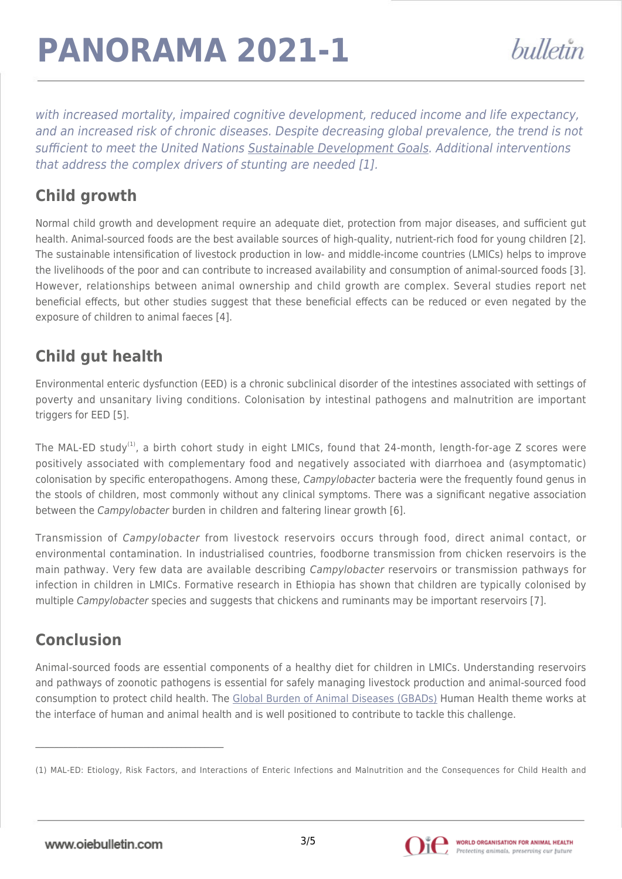# **PANORAMA 2021-1**

with increased mortality, impaired cognitive development, reduced income and life expectancy, and an increased risk of chronic diseases. Despite decreasing global prevalence, the trend is not sufficient to meet the United Nations [Sustainable Development Goals](https://www.un.org/sustainabledevelopment/). Additional interventions that address the complex drivers of stunting are needed [1].

## **Child growth**

Normal child growth and development require an adequate diet, protection from major diseases, and sufficient gut health. Animal-sourced foods are the best available sources of high-quality, nutrient-rich food for young children [2]. The sustainable intensification of livestock production in low- and middle-income countries (LMICs) helps to improve the livelihoods of the poor and can contribute to increased availability and consumption of animal-sourced foods [3]. However, relationships between animal ownership and child growth are complex. Several studies report net beneficial effects, but other studies suggest that these beneficial effects can be reduced or even negated by the exposure of children to animal faeces [4].

### **Child gut health**

Environmental enteric dysfunction (EED) is a chronic subclinical disorder of the intestines associated with settings of poverty and unsanitary living conditions. Colonisation by intestinal pathogens and malnutrition are important triggers for EED [5].

The MAL-ED study<sup>(1)</sup>, a birth cohort study in eight LMICs, found that 24-month, length-for-age Z scores were positively associated with complementary food and negatively associated with diarrhoea and (asymptomatic) colonisation by specific enteropathogens. Among these, Campylobacter bacteria were the frequently found genus in the stools of children, most commonly without any clinical symptoms. There was a significant negative association between the *Campylobacter* burden in children and faltering linear growth [6].

Transmission of Campylobacter from livestock reservoirs occurs through food, direct animal contact, or environmental contamination. In industrialised countries, foodborne transmission from chicken reservoirs is the main pathway. Very few data are available describing Campylobacter reservoirs or transmission pathways for infection in children in LMICs. Formative research in Ethiopia has shown that children are typically colonised by multiple Campylobacter species and suggests that chickens and ruminants may be important reservoirs [7].

## **Conclusion**

Animal-sourced foods are essential components of a healthy diet for children in LMICs. Understanding reservoirs and pathways of zoonotic pathogens is essential for safely managing livestock production and animal-sourced food consumption to protect child health. The [Global Burden of Animal Diseases \(GBADs\)](https://animalhealthmetrics.org) Human Health theme works at the interface of human and animal health and is well positioned to contribute to tackle this challenge.



<sup>(1)</sup> MAL-ED: Etiology, Risk Factors, and Interactions of Enteric Infections and Malnutrition and the Consequences for Child Health and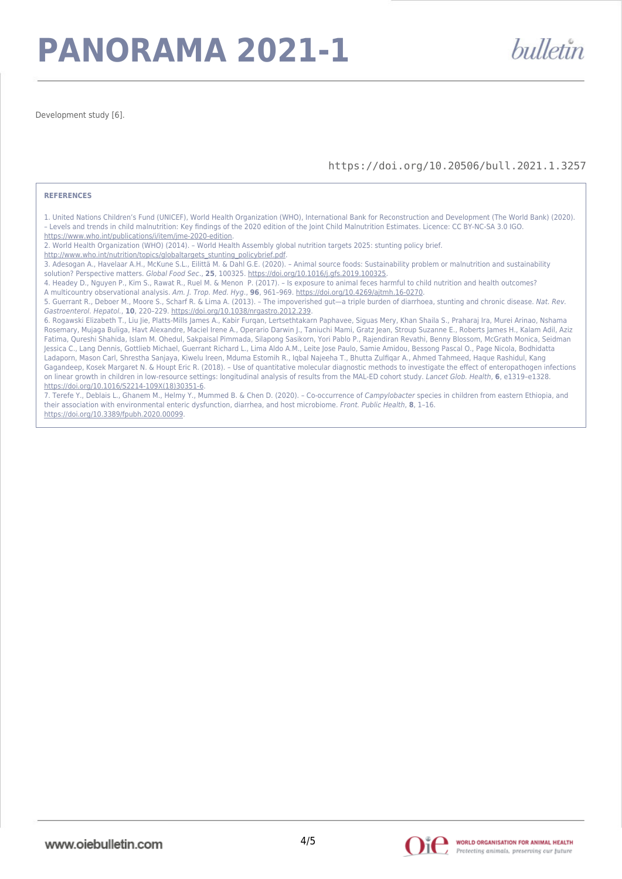## **PANORAMA 2021-1**

Development study [6].

#### https://doi.org/10.20506/bull.2021.1.3257

bulletin

#### **REFERENCES**

1. United Nations Children's Fund (UNICEF), World Health Organization (WHO), International Bank for Reconstruction and Development (The World Bank) (2020). – Levels and trends in child malnutrition: Key findings of the 2020 edition of the Joint Child Malnutrition Estimates. Licence: CC BY-NC-SA 3.0 IGO. <https://www.who.int/publications/i/item/jme-2020-edition>.

2. World Health Organization (WHO) (2014). – World Health Assembly global nutrition targets 2025: stunting policy brief.

[http://www.who.int/nutrition/topics/globaltargets\\_stunting\\_policybrief.pdf](http://www.who.int/nutrition/topics/globaltargets_stunting_policybrief.pdf).

3. Adesogan A., Havelaar A.H., McKune S.L., Eilittä M. & Dahl G.E. (2020). – Animal source foods: Sustainability problem or malnutrition and sustainability solution? Perspective matters. Global Food Sec., **25**, 100325. [https://doi.org/10.1016/j.gfs.2019.100325.](https://doi.org/10.1016/j.gfs.2019.100325)

4. Headey D., Nguyen P., Kim S., Rawat R., Ruel M. & Menon P. (2017). – Is exposure to animal feces harmful to child nutrition and health outcomes?

A multicountry observational analysis. Am. J. Trop. Med. Hyg., **96**, 961–969. [https://doi.org/10.4269/ajtmh.16-0270.](https://doi.org/10.4269/ajtmh.16-0270)

5. Guerrant R., Deboer M., Moore S., Scharf R. & Lima A. (2013). – The impoverished gut—a triple burden of diarrhoea, stunting and chronic disease. Nat. Rev. Gastroenterol. Hepatol., **10**, 220–229. [https://doi.org/10.1038/nrgastro.2012.239.](https://doi.org/10.1038/nrgastro.2012.239)

6. Rogawski Elizabeth T., Liu Jie, Platts-Mills James A., Kabir Furqan, Lertsethtakarn Paphavee, Siguas Mery, Khan Shaila S., Praharaj Ira, Murei Arinao, Nshama Rosemary, Mujaga Buliga, Havt Alexandre, Maciel Irene A., Operario Darwin J., Taniuchi Mami, Gratz Jean, Stroup Suzanne E., Roberts James H., Kalam Adil, Aziz Fatima, Qureshi Shahida, Islam M. Ohedul, Sakpaisal Pimmada, Silapong Sasikorn, Yori Pablo P., Rajendiran Revathi, Benny Blossom, McGrath Monica, Seidman Jessica C., Lang Dennis, Gottlieb Michael, Guerrant Richard L., Lima Aldo A.M., Leite Jose Paulo, Samie Amidou, Bessong Pascal O., Page Nicola, Bodhidatta Ladaporn, Mason Carl, Shrestha Sanjaya, Kiwelu Ireen, Mduma Estomih R., Iqbal Najeeha T., Bhutta Zulfiqar A., Ahmed Tahmeed, Haque Rashidul, Kang Gagandeep, Kosek Margaret N. & Houpt Eric R. (2018). – Use of quantitative molecular diagnostic methods to investigate the effect of enteropathogen infections on linear growth in children in low-resource settings: longitudinal analysis of results from the MAL-ED cohort study. Lancet Glob. Health, **6**, e1319–e1328. [https://doi.org/10.1016/S2214-109X\(18\)30351-6.](https://doi.org/10.1016/S2214-109X(18)30351-6)

7. Terefe Y., Deblais L., Ghanem M., Helmy Y., Mummed B. & Chen D. (2020). – Co-occurrence of Campylobacter species in children from eastern Ethiopia, and their association with environmental enteric dysfunction, diarrhea, and host microbiome. Front. Public Health, **8**, 1–16. <https://doi.org/10.3389/fpubh.2020.00099>.